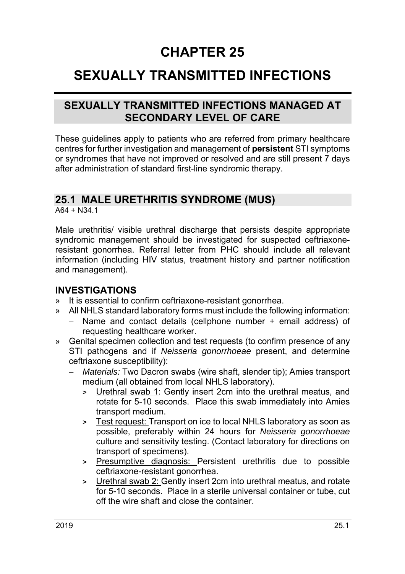# **CHAPTER 25**

# **SEXUALLY TRANSMITTED INFECTIONS**

## **SEXUALLY TRANSMITTED INFECTIONS MANAGED AT SECONDARY LEVEL OF CARE**

These guidelines apply to patients who are referred from primary healthcare centres for further investigation and management of **persistent** STI symptoms or syndromes that have not improved or resolved and are still present 7 days after administration of standard first-line syndromic therapy.

## **25.1 MALE URETHRITIS SYNDROME (MUS)**

 $A64 + N34.1$ 

Male urethritis/ visible urethral discharge that persists despite appropriate syndromic management should be investigated for suspected ceftriaxoneresistant gonorrhea. Referral letter from PHC should include all relevant information (including HIV status, treatment history and partner notification and management).

## **INVESTIGATIONS**

- » It is essential to confirm ceftriaxone-resistant gonorrhea.
- » All NHLS standard laboratory forms must include the following information:
	- Name and contact details (cellphone number + email address) of requesting healthcare worker.
- » Genital specimen collection and test requests (to confirm presence of any STI pathogens and if *Neisseria gonorrhoeae* present, and determine ceftriaxone susceptibility):
	- *Materials:* Two Dacron swabs (wire shaft, slender tip); Amies transport medium (all obtained from local NHLS laboratory).
		- **>** Urethral swab 1: Gently insert 2cm into the urethral meatus, and rotate for 5-10 seconds. Place this swab immediately into Amies transport medium.
		- **>** Test request: Transport on ice to local NHLS laboratory as soon as possible, preferably within 24 hours for *Neisseria gonorrhoeae*  culture and sensitivity testing. (Contact laboratory for directions on transport of specimens).
		- **>** Presumptive diagnosis: Persistent urethritis due to possible ceftriaxone-resistant gonorrhea.
		- **>** Urethral swab 2: Gently insert 2cm into urethral meatus, and rotate for 5-10 seconds. Place in a sterile universal container or tube, cut off the wire shaft and close the container.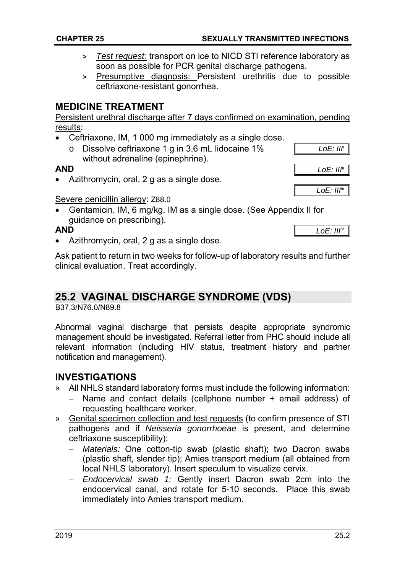- **>** *Test request:* transport on ice to NICD STI reference laboratory as soon as possible for PCR genital discharge pathogens.
- **>** Presumptive diagnosis: Persistent urethritis due to possible ceftriaxone-resistant gonorrhea.

## **MEDICINE TREATMENT**

Persistent urethral discharge after 7 days confirmed on examination, pending results:

- Ceftriaxone, IM, 1 000 mg immediately as a single dose.
	- o Dissolve ceftriaxone 1 g in 3.6 mL lidocaine 1% without adrenaline (epinephrine).

#### **AND**

• Azithromycin, oral, 2 g as a single dose.

#### Severe penicillin allergy: Z88.0

 Gentamicin, IM, 6 mg/kg, IM as a single dose. (See Appendix II for guidance on prescribing).

#### **AND**

Azithromycin, oral, 2 g as a single dose.

Ask patient to return in two weeks for follow-up of laboratory results and further clinical evaluation. Treat accordingly.

## **25.2 VAGINAL DISCHARGE SYNDROME (VDS)**

B37.3/N76.0/N89.8

Abnormal vaginal discharge that persists despite appropriate syndromic management should be investigated. Referral letter from PHC should include all relevant information (including HIV status, treatment history and partner notification and management).

## **INVESTIGATIONS**

- » All NHLS standard laboratory forms must include the following information:
	- Name and contact details (cellphone number + email address) of requesting healthcare worker.
- » Genital specimen collection and test requests (to confirm presence of STI pathogens and if *Neisseria gonorrhoeae* is present, and determine ceftriaxone susceptibility):
	- *Materials:* One cotton-tip swab (plastic shaft); two Dacron swabs (plastic shaft, slender tip); Amies transport medium (all obtained from local NHLS laboratory). Insert speculum to visualize cervix.
	- *Endocervical swab 1:* Gently insert Dacron swab 2cm into the endocervical canal, and rotate for 5-10 seconds. Place this swab immediately into Amies transport medium.



*LoE: IIIiv*

*LoE: IIIiii*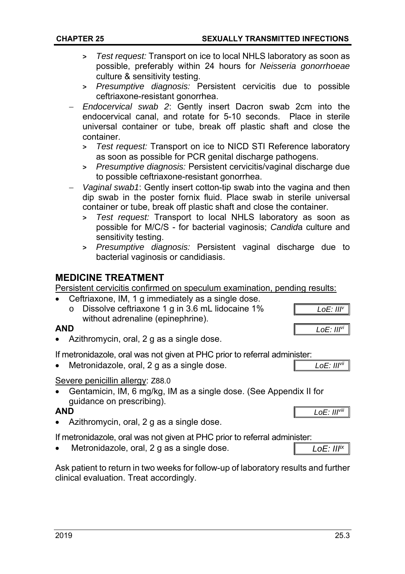*Endocervical swab 2*: Gently insert Dacron swab 2cm into the endocervical canal, and rotate for 5-10 seconds. Place in sterile universal container or tube, break off plastic shaft and close the container.

**>** *Test request:* Transport on ice to local NHLS laboratory as soon as possible, preferably within 24 hours for *Neisseria gonorrhoeae*

**>** *Presumptive diagnosis:* Persistent cervicitis due to possible

- **>** *Test request:* Transport on ice to NICD STI Reference laboratory as soon as possible for PCR genital discharge pathogens.
- **>** *Presumptive diagnosis:* Persistent cervicitis/vaginal discharge due to possible ceftriaxone-resistant gonorrhea.
- *Vaginal swab1*: Gently insert cotton-tip swab into the vagina and then dip swab in the poster fornix fluid. Place swab in sterile universal container or tube, break off plastic shaft and close the container.
	- **>** *Test request:* Transport to local NHLS laboratory as soon as possible for M/C/S - for bacterial vaginosis; *Candid*a culture and sensitivity testing.
	- **>** *Presumptive diagnosis:* Persistent vaginal discharge due to bacterial vaginosis or candidiasis.

## **MEDICINE TREATMENT**

Persistent cervicitis confirmed on speculum examination, pending results:

- Ceftriaxone, IM, 1 g immediately as a single dose. o Dissolve ceftriaxone 1 g in 3.6 mL lidocaine 1% without adrenaline (epinephrine).
- **AND**
- Azithromycin, oral, 2 g as a single dose.

culture & sensitivity testing.

ceftriaxone-resistant gonorrhea.

If metronidazole, oral was not given at PHC prior to referral administer:

Metronidazole, oral, 2 g as a single dose.

## Severe penicillin allergy: Z88.0

 Gentamicin, IM, 6 mg/kg, IM as a single dose. (See Appendix II for guidance on prescribing).

## **AND**

Azithromycin, oral, 2 g as a single dose.

If metronidazole, oral was not given at PHC prior to referral administer:

Metronidazole, oral, 2 g as a single dose.

Ask patient to return in two weeks for follow-up of laboratory results and further clinical evaluation. Treat accordingly.

*LoE: IIIvi*

*LoE: IIIv*

*LoE: IIIvii*

*LoE: IIIviii*

*LoE: III ix*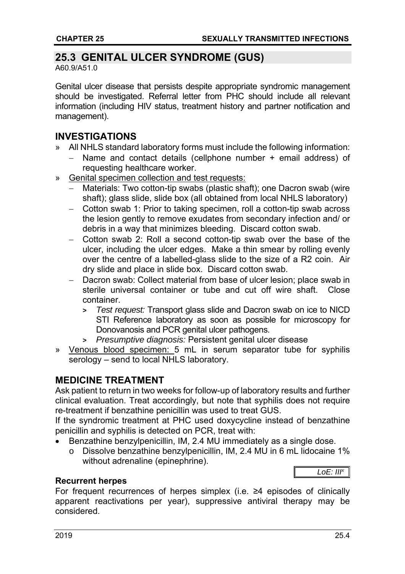## **25.3 GENITAL ULCER SYNDROME (GUS)**

A60.9/A51.0

Genital ulcer disease that persists despite appropriate syndromic management should be investigated. Referral letter from PHC should include all relevant information (including HIV status, treatment history and partner notification and management).

## **INVESTIGATIONS**

- » All NHLS standard laboratory forms must include the following information:
	- Name and contact details (cellphone number + email address) of requesting healthcare worker.
- » Genital specimen collection and test requests:
	- Materials: Two cotton-tip swabs (plastic shaft); one Dacron swab (wire shaft); glass slide, slide box (all obtained from local NHLS laboratory)
	- Cotton swab 1: Prior to taking specimen, roll a cotton-tip swab across the lesion gently to remove exudates from secondary infection and/ or debris in a way that minimizes bleeding. Discard cotton swab.
	- Cotton swab 2: Roll a second cotton-tip swab over the base of the ulcer, including the ulcer edges. Make a thin smear by rolling evenly over the centre of a labelled-glass slide to the size of a R2 coin. Air dry slide and place in slide box. Discard cotton swab.
	- Dacron swab: Collect material from base of ulcer lesion; place swab in sterile universal container or tube and cut off wire shaft. Close container.
		- **>** *Test request:* Transport glass slide and Dacron swab on ice to NICD STI Reference laboratory as soon as possible for microscopy for Donovanosis and PCR genital ulcer pathogens.
		- **>** *Presumptive diagnosis:* Persistent genital ulcer disease
- » Venous blood specimen: 5 mL in serum separator tube for syphilis serology – send to local NHLS laboratory.

## **MEDICINE TREATMENT**

Ask patient to return in two weeks for follow-up of laboratory results and further clinical evaluation. Treat accordingly, but note that syphilis does not require re-treatment if benzathine penicillin was used to treat GUS.

If the syndromic treatment at PHC used doxycycline instead of benzathine penicillin and syphilis is detected on PCR, treat with:

- Benzathine benzylpenicillin, IM, 2.4 MU immediately as a single dose.
	- o Dissolve benzathine benzylpenicillin, IM, 2.4 MU in 6 mL lidocaine 1% without adrenaline (epinephrine).



## **Recurrent herpes**

For frequent recurrences of herpes simplex (i.e. ≥4 episodes of clinically apparent reactivations per year), suppressive antiviral therapy may be considered.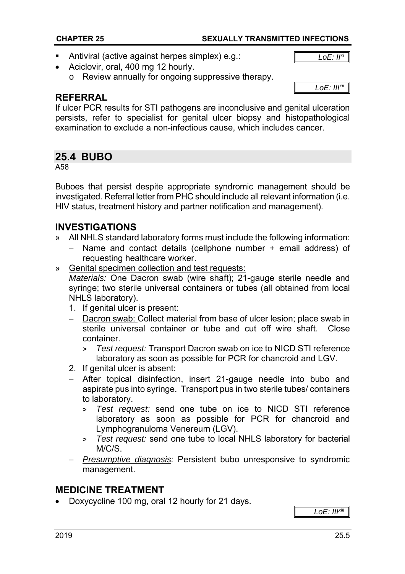#### **CHAPTER 25 SEXUALLY TRANSMITTED INFECTIONS**

Antiviral (active against herpes simplex) e.g.:

*LoE: IIxi*

- Aciclovir, oral, 400 mg 12 hourly.
	- o Review annually for ongoing suppressive therapy.

#### *LoE: IIIxii*

## **REFERRAL**

If ulcer PCR results for STI pathogens are inconclusive and genital ulceration persists, refer to specialist for genital ulcer biopsy and histopathological examination to exclude a non-infectious cause, which includes cancer.

## **25.4 BUBO**

A58

Buboes that persist despite appropriate syndromic management should be investigated. Referral letter from PHC should include all relevant information (i.e. HIV status, treatment history and partner notification and management).

## **INVESTIGATIONS**

- » All NHLS standard laboratory forms must include the following information:
	- Name and contact details (cellphone number + email address) of requesting healthcare worker.
- » Genital specimen collection and test requests:

 *Materials:* One Dacron swab (wire shaft); 21-gauge sterile needle and syringe; two sterile universal containers or tubes (all obtained from local NHLS laboratory).

- 1. If genital ulcer is present:
- Dacron swab: Collect material from base of ulcer lesion; place swab in sterile universal container or tube and cut off wire shaft. Close container.
	- **>** *Test request:* Transport Dacron swab on ice to NICD STI reference laboratory as soon as possible for PCR for chancroid and LGV.
- 2. If genital ulcer is absent:
- After topical disinfection, insert 21-gauge needle into bubo and aspirate pus into syringe. Transport pus in two sterile tubes/ containers to laboratory.
	- **>** *Test request:* send one tube on ice to NICD STI reference laboratory as soon as possible for PCR for chancroid and Lymphogranuloma Venereum (LGV).
	- **>** *Test request:* send one tube to local NHLS laboratory for bacterial M/C/S.
- *Presumptive diagnosis:* Persistent bubo unresponsive to syndromic management.

## **MEDICINE TREATMENT**

Doxycycline 100 mg, oral 12 hourly for 21 days.

*LoE: IIIxiii*